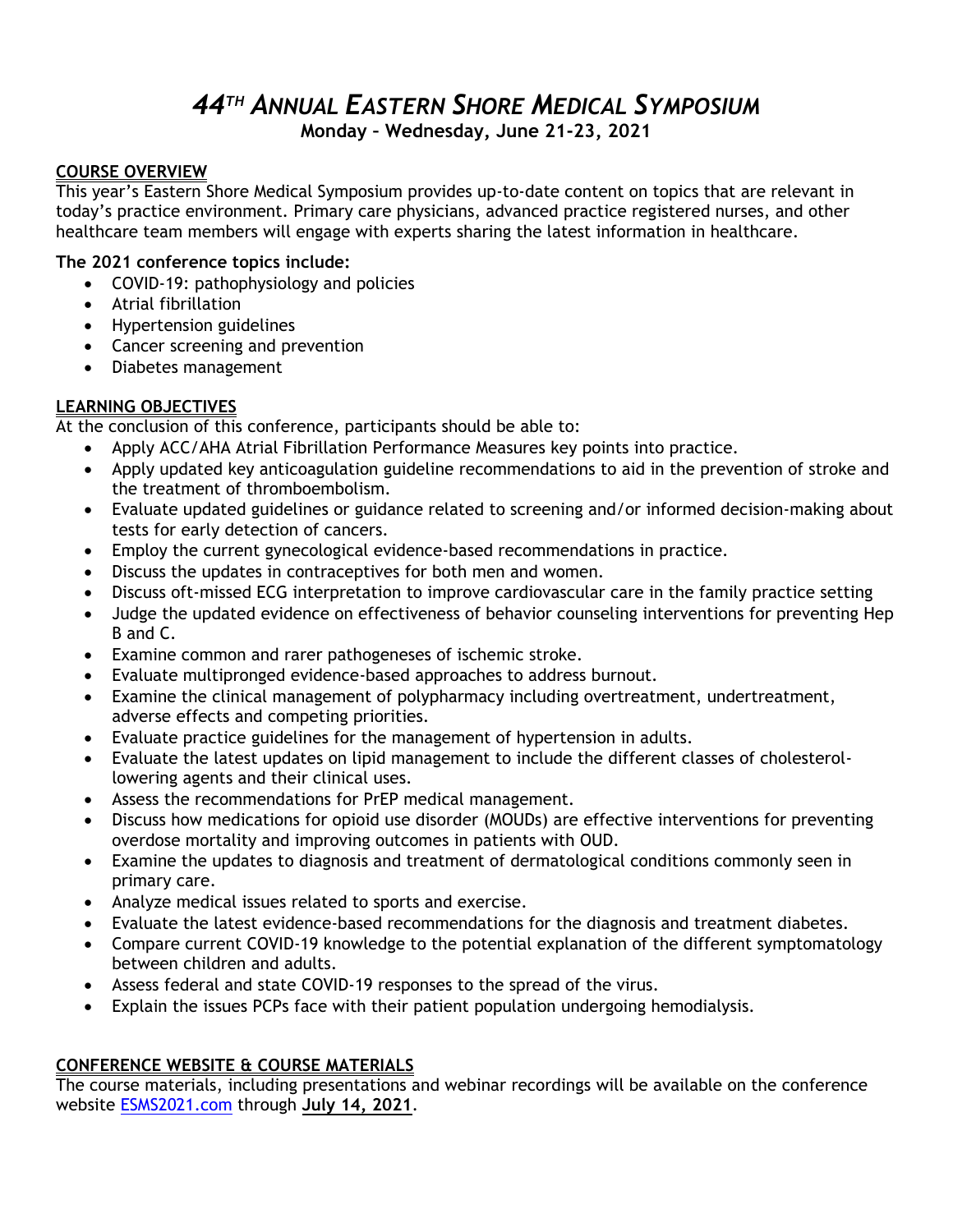### *44 TH ANNUAL EASTERN SHORE MEDICAL SYMPOSIUM* **Monday – Wednesday, June 21-23, 2021**

#### **COURSE OVERVIEW**

This year's Eastern Shore Medical Symposium provides up-to-date content on topics that are relevant in today's practice environment. Primary care physicians, advanced practice registered nurses, and other healthcare team members will engage with experts sharing the latest information in healthcare.

#### **The 2021 conference topics include:**

- COVID-19: pathophysiology and policies
- Atrial fibrillation
- Hypertension guidelines
- Cancer screening and prevention
- Diabetes management

#### **LEARNING OBJECTIVES**

At the conclusion of this conference, participants should be able to:

- Apply ACC/AHA Atrial Fibrillation Performance Measures key points into practice.
- Apply updated key anticoagulation guideline recommendations to aid in the prevention of stroke and the treatment of thromboembolism.
- Evaluate updated guidelines or guidance related to screening and/or informed decision-making about tests for early detection of cancers.
- Employ the current gynecological evidence-based recommendations in practice.
- Discuss the updates in contraceptives for both men and women.
- Discuss oft-missed ECG interpretation to improve cardiovascular care in the family practice setting
- Judge the updated evidence on effectiveness of behavior counseling interventions for preventing Hep B and C.
- Examine common and rarer pathogeneses of ischemic stroke.
- Evaluate multipronged evidence-based approaches to address burnout.
- Examine the clinical management of polypharmacy including overtreatment, undertreatment, adverse effects and competing priorities.
- Evaluate practice guidelines for the management of hypertension in adults.
- Evaluate the latest updates on lipid management to include the different classes of cholesterollowering agents and their clinical uses.
- Assess the recommendations for PrEP medical management.
- Discuss how medications for opioid use disorder (MOUDs) are effective interventions for preventing overdose mortality and improving outcomes in patients with OUD.
- Examine the updates to diagnosis and treatment of dermatological conditions commonly seen in primary care.
- Analyze medical issues related to sports and exercise.
- Evaluate the latest evidence-based recommendations for the diagnosis and treatment diabetes.
- Compare current COVID-19 knowledge to the potential explanation of the different symptomatology between children and adults.
- Assess federal and state COVID-19 responses to the spread of the virus.
- Explain the issues PCPs face with their patient population undergoing hemodialysis.

#### **CONFERENCE WEBSITE & COURSE MATERIALS**

The course materials, including presentations and webinar recordings will be available on the conference website <ESMS2021.com> through **July 14, 2021**.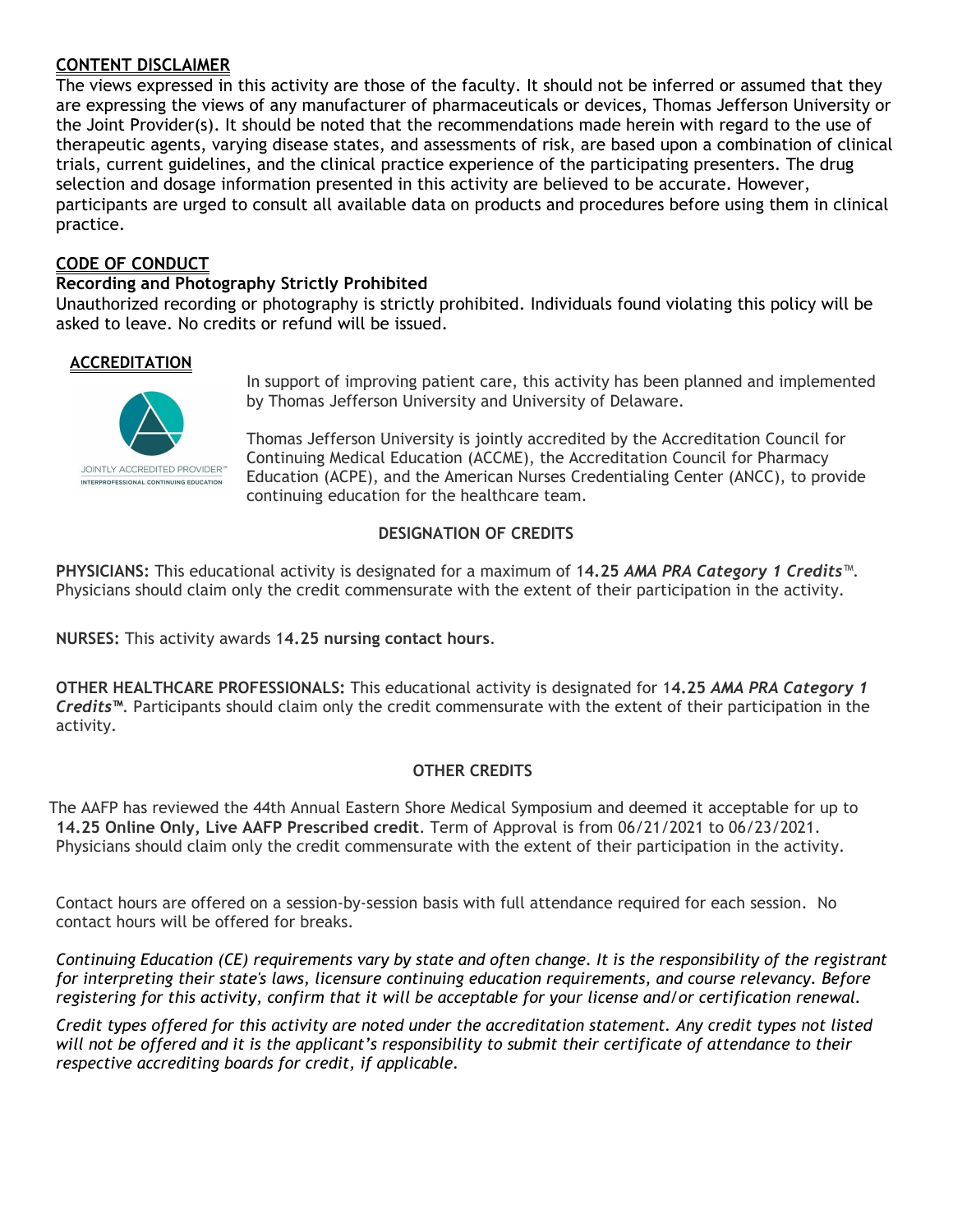#### **CONTENT DISCLAIMER**

The views expressed in this activity are those of the faculty. It should not be inferred or assumed that they are expressing the views of any manufacturer of pharmaceuticals or devices, Thomas Jefferson University or the Joint Provider(s). It should be noted that the recommendations made herein with regard to the use of therapeutic agents, varying disease states, and assessments of risk, are based upon a combination of clinical trials, current guidelines, and the clinical practice experience of the participating presenters. The drug selection and dosage information presented in this activity are believed to be accurate. However, participants are urged to consult all available data on products and procedures before using them in clinical practice.

#### **CODE OF CONDUCT**

#### **Recording and Photography Strictly Prohibited**

Unauthorized recording or photography is strictly prohibited. Individuals found violating this policy will be asked to leave. No credits or refund will be issued.

#### **ACCREDITATION**



In support of improving patient care, this activity has been planned and implemented by Thomas Jefferson University and University of Delaware.

Thomas Jefferson University is jointly accredited by the Accreditation Council for Continuing Medical Education (ACCME), the Accreditation Council for Pharmacy Education (ACPE), and the American Nurses Credentialing Center (ANCC), to provide continuing education for the healthcare team.

#### **DESIGNATION OF CREDITS**

**PHYSICIANS:** This educational activity is designated for a maximum of 1**4.25** *AMA PRA Category 1 Credits*™. Physicians should claim only the credit commensurate with the extent of their participation in the activity.

**NURSES:** This activity awards 1**4.25 nursing contact hours**.

**OTHER HEALTHCARE PROFESSIONALS:** This educational activity is designated for 1**4.25** *AMA PRA Category 1 Credits™*. Participants should claim only the credit commensurate with the extent of their participation in the activity.

#### **OTHER CREDITS**

The AAFP has reviewed the 44th Annual Eastern Shore Medical Symposium and deemed it acceptable for up to **14.25 Online Only, Live AAFP Prescribed credit**. Term of Approval is from 06/21/2021 to 06/23/2021. Physicians should claim only the credit commensurate with the extent of their participation in the activity.

Contact hours are offered on a session-by-session basis with full attendance required for each session. No contact hours will be offered for breaks.

*Continuing Education (CE) requirements vary by state and often change. It is the responsibility of the registrant for interpreting their state's laws, licensure continuing education requirements, and course relevancy. Before registering for this activity, confirm that it will be acceptable for your license and/or certification renewal.*

*Credit types offered for this activity are noted under the accreditation statement. Any credit types not listed will not be offered and it is the applicant's responsibility to submit their certificate of attendance to their respective accrediting boards for credit, if applicable.*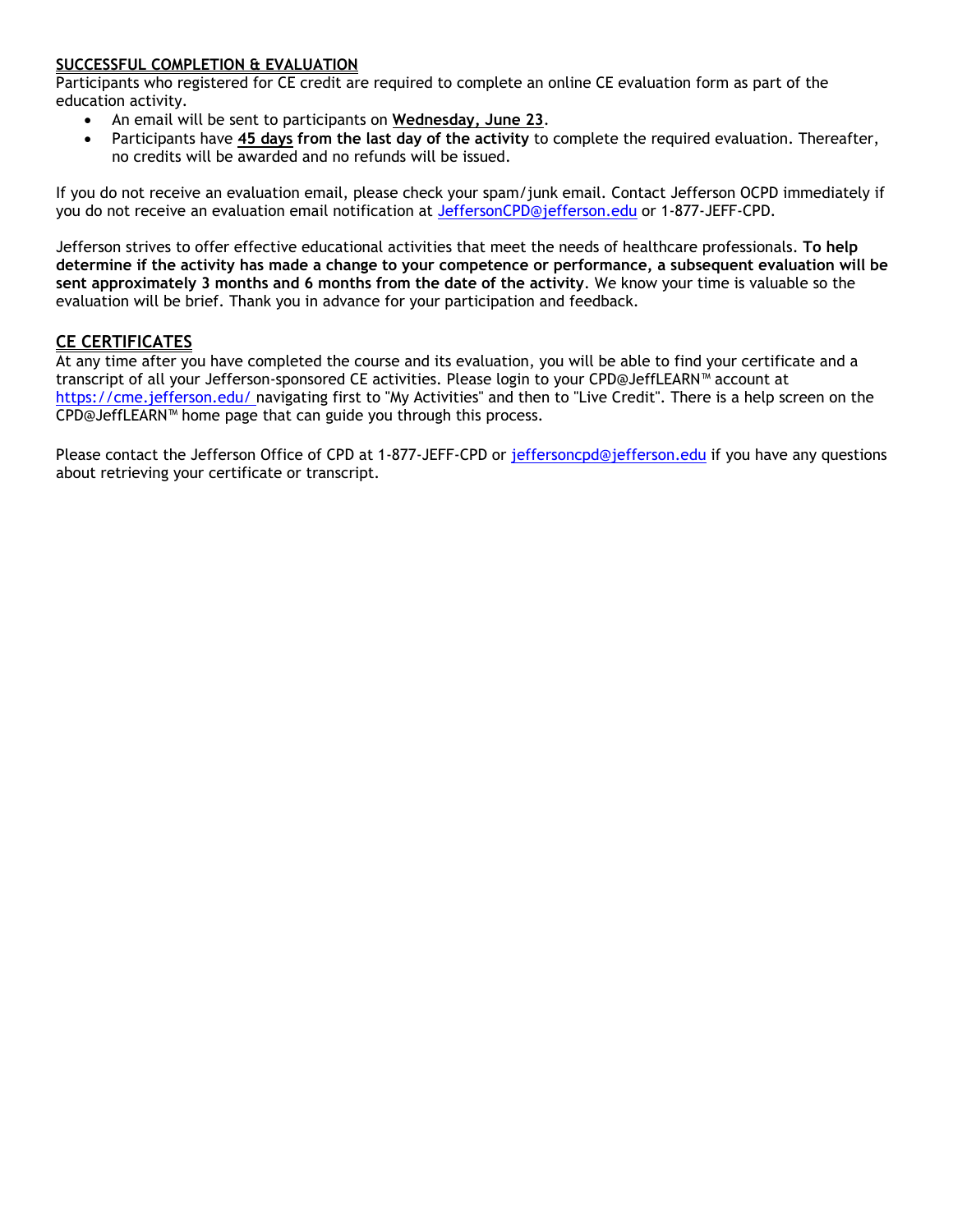#### **SUCCESSFUL COMPLETION & EVALUATION**

Participants who registered for CE credit are required to complete an online CE evaluation form as part of the education activity.

- An email will be sent to participants on **Wednesday, June 23**.
- Participants have **45 days from the last day of the activity** to complete the required evaluation. Thereafter, no credits will be awarded and no refunds will be issued.

If you do not receive an evaluation email, please check your spam/junk email. Contact Jefferson OCPD immediately if you do not receive an evaluation email notification at [JeffersonCPD@jefferson.edu](mailto:JeffersonCPD@jefferson.edu) or 1-877-JEFF-CPD.

Jefferson strives to offer effective educational activities that meet the needs of healthcare professionals. **To help determine if the activity has made a change to your competence or performance, a subsequent evaluation will be sent approximately 3 months and 6 months from the date of the activity**. We know your time is valuable so the evaluation will be brief. Thank you in advance for your participation and feedback.

#### **CE CERTIFICATES**

At any time after you have completed the course and its evaluation, you will be able to find your certificate and a transcript of all your Jefferson-sponsored CE activities. Please login to your CPD@JeffLEARN™ account at [https://cme.jefferson.edu/ n](https://cme.jefferson.edu/)avigating first to "My Activities" and then to "Live Credit". There is a help screen on the CPD@JeffLEARN™ home page that can guide you through this process.

Please contact the Jefferson Office of CPD at 1-877-JEFF-CPD or [jeffersoncpd@jefferson.edu](mailto:jeffersoncpd@jefferson.edu) if you have any questions about retrieving your certificate or transcript.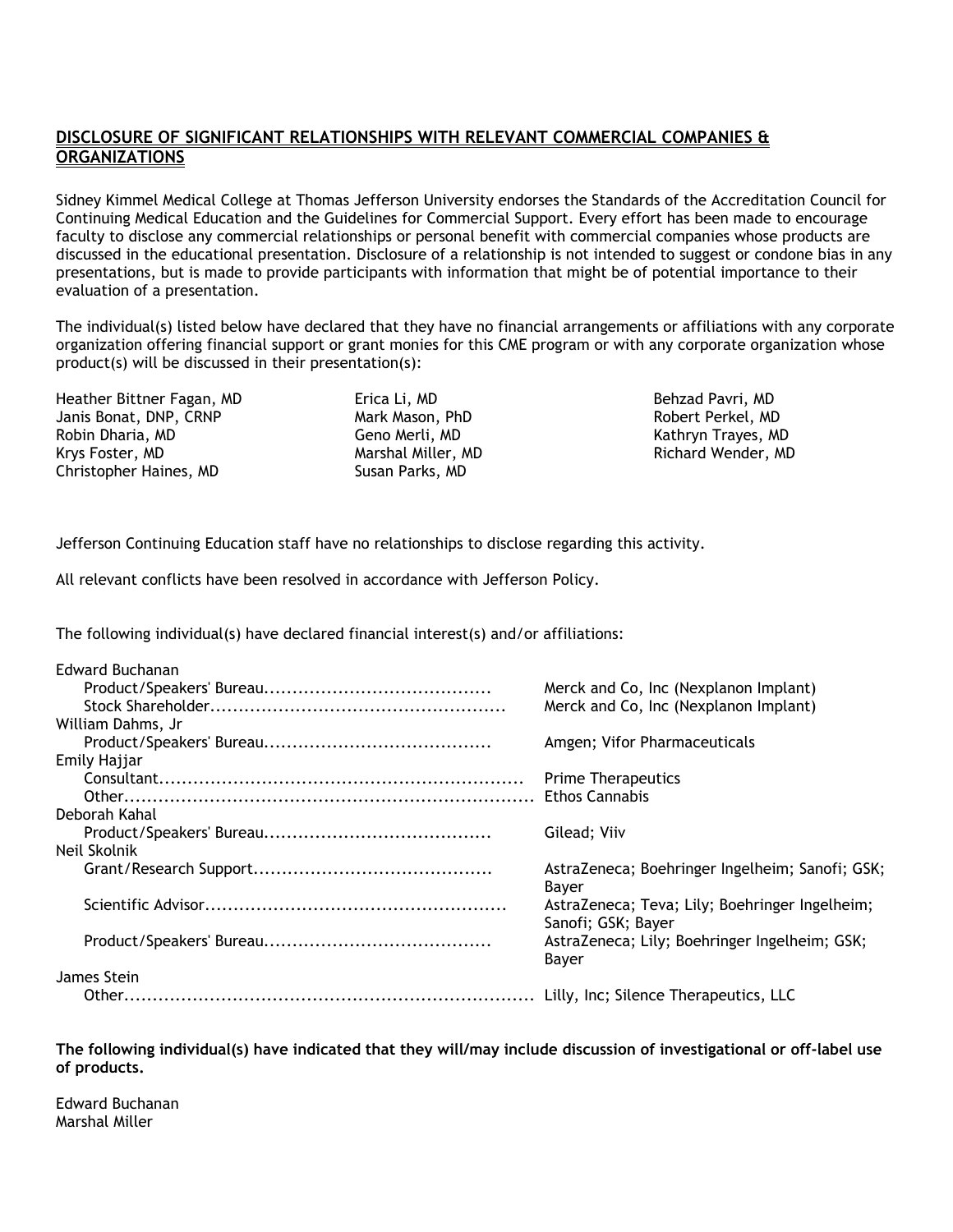#### **DISCLOSURE OF SIGNIFICANT RELATIONSHIPS WITH RELEVANT COMMERCIAL COMPANIES & ORGANIZATIONS**

Sidney Kimmel Medical College at Thomas Jefferson University endorses the Standards of the Accreditation Council for Continuing Medical Education and the Guidelines for Commercial Support. Every effort has been made to encourage faculty to disclose any commercial relationships or personal benefit with commercial companies whose products are discussed in the educational presentation. Disclosure of a relationship is not intended to suggest or condone bias in any presentations, but is made to provide participants with information that might be of potential importance to their evaluation of a presentation.

The individual(s) listed below have declared that they have no financial arrangements or affiliations with any corporate organization offering financial support or grant monies for this CME program or with any corporate organization whose product(s) will be discussed in their presentation(s):

Heather Bittner Fagan, MD Janis Bonat, DNP, CRNP Robin Dharia, MD Krys Foster, MD Christopher Haines, MD

Erica Li, MD Mark Mason, PhD Geno Merli, MD Marshal Miller, MD Susan Parks, MD

Behzad Pavri, MD Robert Perkel, MD Kathryn Trayes, MD Richard Wender, MD

Jefferson Continuing Education staff have no relationships to disclose regarding this activity.

All relevant conflicts have been resolved in accordance with Jefferson Policy.

The following individual(s) have declared financial interest(s) and/or affiliations:

| Edward Buchanan   |                                                 |
|-------------------|-------------------------------------------------|
|                   | Merck and Co, Inc (Nexplanon Implant)           |
|                   | Merck and Co, Inc (Nexplanon Implant)           |
| William Dahms, Jr |                                                 |
|                   | Amgen; Vifor Pharmaceuticals                    |
| Emily Hajjar      |                                                 |
|                   | <b>Prime Therapeutics</b>                       |
|                   |                                                 |
| Deborah Kahal     |                                                 |
|                   | Gilead; Viiv                                    |
| Neil Skolnik      |                                                 |
|                   | AstraZeneca; Boehringer Ingelheim; Sanofi; GSK; |
|                   | Bayer                                           |
|                   | AstraZeneca; Teva; Lily; Boehringer Ingelheim;  |
|                   | Sanofi; GSK; Bayer                              |
|                   | AstraZeneca; Lily; Boehringer Ingelheim; GSK;   |
|                   | Bayer                                           |
| James Stein       |                                                 |
|                   |                                                 |
|                   |                                                 |

**The following individual(s) have indicated that they will/may include discussion of investigational or off-label use of products.**

Edward Buchanan Marshal Miller